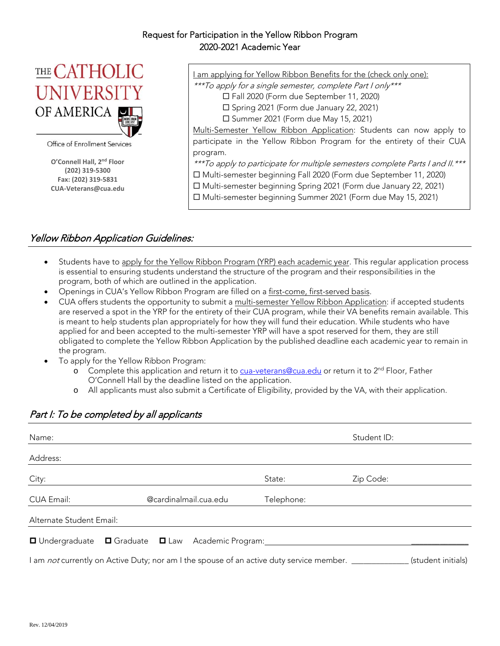## Request for Participation in the Yellow Ribbon Program 2020-2021 Academic Year



Office of Enrollment Services

**O'Connell Hall, 2nd Floor (202) 319‐5300 Fax: (202) 319‐5831 CUA‐Veterans@cua.edu** I am applying for Yellow Ribbon Benefits for the (check only one):

\*\*\*To apply for a single semester, complete Part I only\*\*\*

Fall 2020 (Form due September 11, 2020)

□ Spring 2021 (Form due January 22, 2021)

 $\square$  Summer 2021 (Form due May 15, 2021)

Multi-Semester Yellow Ribbon Application: Students can now apply to participate in the Yellow Ribbon Program for the entirety of their CUA program.

\*\*\*To apply to participate for multiple semesters complete Parts I and II.\*\*\*

Multi-semester beginning Fall 2020 (Form due September 11, 2020)

Multi-semester beginning Spring 2021 (Form due January 22, 2021)

Multi-semester beginning Summer 2021 (Form due May 15, 2021)

## Yellow Ribbon Application Guidelines:

- Students have to apply for the Yellow Ribbon Program (YRP) each academic year. This regular application process is essential to ensuring students understand the structure of the program and their responsibilities in the program, both of which are outlined in the application.
- Openings in CUA's Yellow Ribbon Program are filled on a first-come, first-served basis.
- CUA offers students the opportunity to submit a multi-semester Yellow Ribbon Application: if accepted students are reserved a spot in the YRP for the entirety of their CUA program, while their VA benefits remain available. This is meant to help students plan appropriately for how they will fund their education. While students who have applied for and been accepted to the multi-semester YRP will have a spot reserved for them, they are still obligated to complete the Yellow Ribbon Application by the published deadline each academic year to remain in the program.
- To apply for the Yellow Ribbon Program:
	- o Complete this application and return it to cua-veterans@cua.edu or return it to  $2^{nd}$  Floor, Father O'Connell Hall by the deadline listed on the application.
	- o All applicants must also submit a Certificate of Eligibility, provided by the VA, with their application.

| Name:                    |                                                                                                     |            | Student ID: |                    |
|--------------------------|-----------------------------------------------------------------------------------------------------|------------|-------------|--------------------|
| Address:                 |                                                                                                     |            |             |                    |
| City:                    |                                                                                                     | State:     | Zip Code:   |                    |
| CUA Email:               | @cardinalmail.cua.edu                                                                               | Telephone: |             |                    |
| Alternate Student Email: |                                                                                                     |            |             |                    |
|                          | □ Undergraduate □ Graduate □ Law Academic Program:                                                  |            |             |                    |
|                          | I am not currently on Active Duty; nor am I the spouse of an active duty service member. __________ |            |             | (student initials) |

# Part I: To be completed by all applicants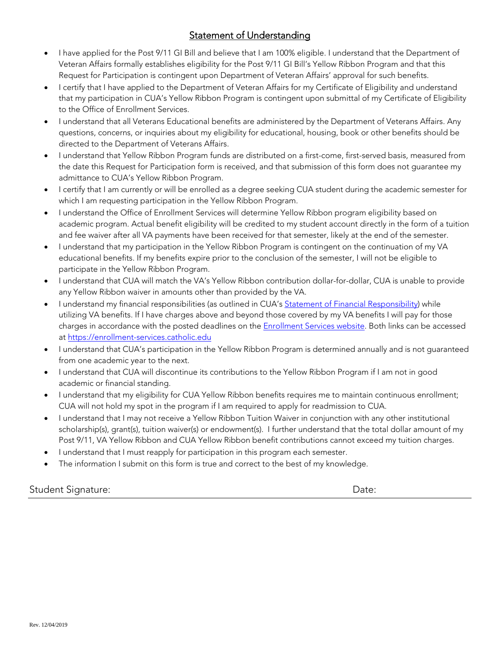# Statement of Understanding

- I have applied for the Post 9/11 GI Bill and believe that I am 100% eligible. I understand that the Department of Veteran Affairs formally establishes eligibility for the Post 9/11 GI Bill's Yellow Ribbon Program and that this Request for Participation is contingent upon Department of Veteran Affairs' approval for such benefits.
- I certify that I have applied to the Department of Veteran Affairs for my Certificate of Eligibility and understand that my participation in CUA's Yellow Ribbon Program is contingent upon submittal of my Certificate of Eligibility to the Office of Enrollment Services.
- I understand that all Veterans Educational benefits are administered by the Department of Veterans Affairs. Any questions, concerns, or inquiries about my eligibility for educational, housing, book or other benefits should be directed to the Department of Veterans Affairs.
- I understand that Yellow Ribbon Program funds are distributed on a first-come, first-served basis, measured from the date this Request for Participation form is received, and that submission of this form does not guarantee my admittance to CUA's Yellow Ribbon Program.
- I certify that I am currently or will be enrolled as a degree seeking CUA student during the academic semester for which I am requesting participation in the Yellow Ribbon Program.
- $\bullet$  I understand the Office of Enrollment Services will determine Yellow Ribbon program eligibility based on academic program. Actual benefit eligibility will be credited to my student account directly in the form of a tuition and fee waiver after all VA payments have been received for that semester, likely at the end of the semester.
- I understand that my participation in the Yellow Ribbon Program is contingent on the continuation of my VA educational benefits. If my benefits expire prior to the conclusion of the semester, I will not be eligible to participate in the Yellow Ribbon Program.
- I understand that CUA will match the VA's Yellow Ribbon contribution dollar-for-dollar, CUA is unable to provide any Yellow Ribbon waiver in amounts other than provided by the VA.
- I understand my financial responsibilities (as outlined in CUA's Statement of Financial Responsibility) while utilizing VA benefits. If I have charges above and beyond those covered by my VA benefits I will pay for those charges in accordance with the posted deadlines on the **Enrollment Services website**. Both links can be accessed at https://enrollment-services.catholic.edu
- I understand that CUA's participation in the Yellow Ribbon Program is determined annually and is not guaranteed from one academic year to the next.
- I understand that CUA will discontinue its contributions to the Yellow Ribbon Program if I am not in good academic or financial standing.
- I understand that my eligibility for CUA Yellow Ribbon benefits requires me to maintain continuous enrollment; CUA will not hold my spot in the program if I am required to apply for readmission to CUA.
- I understand that I may not receive a Yellow Ribbon Tuition Waiver in conjunction with any other institutional scholarship(s), grant(s), tuition waiver(s) or endowment(s). I further understand that the total dollar amount of my Post 9/11, VA Yellow Ribbon and CUA Yellow Ribbon benefit contributions cannot exceed my tuition charges.
- **I** understand that I must reapply for participation in this program each semester.
- The information I submit on this form is true and correct to the best of my knowledge.

Student Signature: Date: Date: Date: Date: Date: Date: Date: Date: Date: Date: Date: Date: Date: Date: Date: D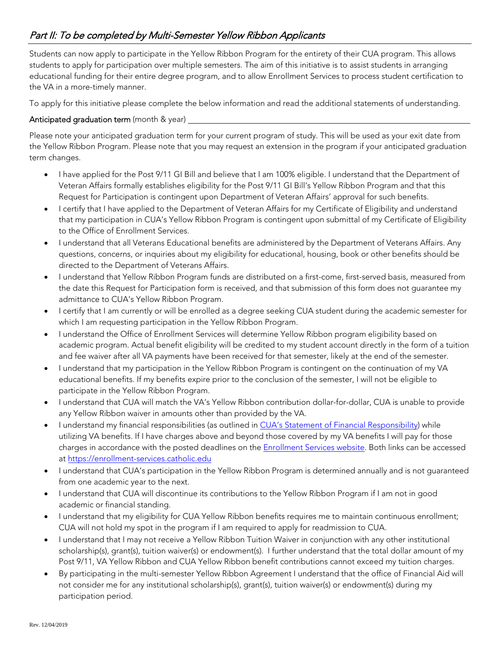Students can now apply to participate in the Yellow Ribbon Program for the entirety of their CUA program. This allows students to apply for participation over multiple semesters. The aim of this initiative is to assist students in arranging educational funding for their entire degree program, and to allow Enrollment Services to process student certification to the VA in a more-timely manner.

To apply for this initiative please complete the below information and read the additional statements of understanding.

#### Anticipated graduation term (month & year) \_\_

Please note your anticipated graduation term for your current program of study. This will be used as your exit date from the Yellow Ribbon Program. Please note that you may request an extension in the program if your anticipated graduation term changes.

- I have applied for the Post 9/11 GI Bill and believe that I am 100% eligible. I understand that the Department of Veteran Affairs formally establishes eligibility for the Post 9/11 GI Bill's Yellow Ribbon Program and that this Request for Participation is contingent upon Department of Veteran Affairs' approval for such benefits.
- I certify that I have applied to the Department of Veteran Affairs for my Certificate of Eligibility and understand that my participation in CUA's Yellow Ribbon Program is contingent upon submittal of my Certificate of Eligibility to the Office of Enrollment Services.
- I understand that all Veterans Educational benefits are administered by the Department of Veterans Affairs. Any questions, concerns, or inquiries about my eligibility for educational, housing, book or other benefits should be directed to the Department of Veterans Affairs.
- I understand that Yellow Ribbon Program funds are distributed on a first-come, first-served basis, measured from the date this Request for Participation form is received, and that submission of this form does not guarantee my admittance to CUA's Yellow Ribbon Program.
- I certify that I am currently or will be enrolled as a degree seeking CUA student during the academic semester for which I am requesting participation in the Yellow Ribbon Program.
- I understand the Office of Enrollment Services will determine Yellow Ribbon program eligibility based on academic program. Actual benefit eligibility will be credited to my student account directly in the form of a tuition and fee waiver after all VA payments have been received for that semester, likely at the end of the semester.
- I understand that my participation in the Yellow Ribbon Program is contingent on the continuation of my VA educational benefits. If my benefits expire prior to the conclusion of the semester, I will not be eligible to participate in the Yellow Ribbon Program.
- I understand that CUA will match the VA's Yellow Ribbon contribution dollar-for-dollar, CUA is unable to provide any Yellow Ribbon waiver in amounts other than provided by the VA.
- I understand my financial responsibilities (as outlined in CUA's Statement of Financial Responsibility) while utilizing VA benefits. If I have charges above and beyond those covered by my VA benefits I will pay for those charges in accordance with the posted deadlines on the **Enrollment Services website**. Both links can be accessed at https://enrollment-services.catholic.edu
- I understand that CUA's participation in the Yellow Ribbon Program is determined annually and is not guaranteed from one academic year to the next.
- I understand that CUA will discontinue its contributions to the Yellow Ribbon Program if I am not in good academic or financial standing.
- I understand that my eligibility for CUA Yellow Ribbon benefits requires me to maintain continuous enrollment; CUA will not hold my spot in the program if I am required to apply for readmission to CUA.
- I understand that I may not receive a Yellow Ribbon Tuition Waiver in conjunction with any other institutional scholarship(s), grant(s), tuition waiver(s) or endowment(s). I further understand that the total dollar amount of my Post 9/11, VA Yellow Ribbon and CUA Yellow Ribbon benefit contributions cannot exceed my tuition charges.
- By participating in the multi-semester Yellow Ribbon Agreement I understand that the office of Financial Aid will not consider me for any institutional scholarship(s), grant(s), tuition waiver(s) or endowment(s) during my participation period.